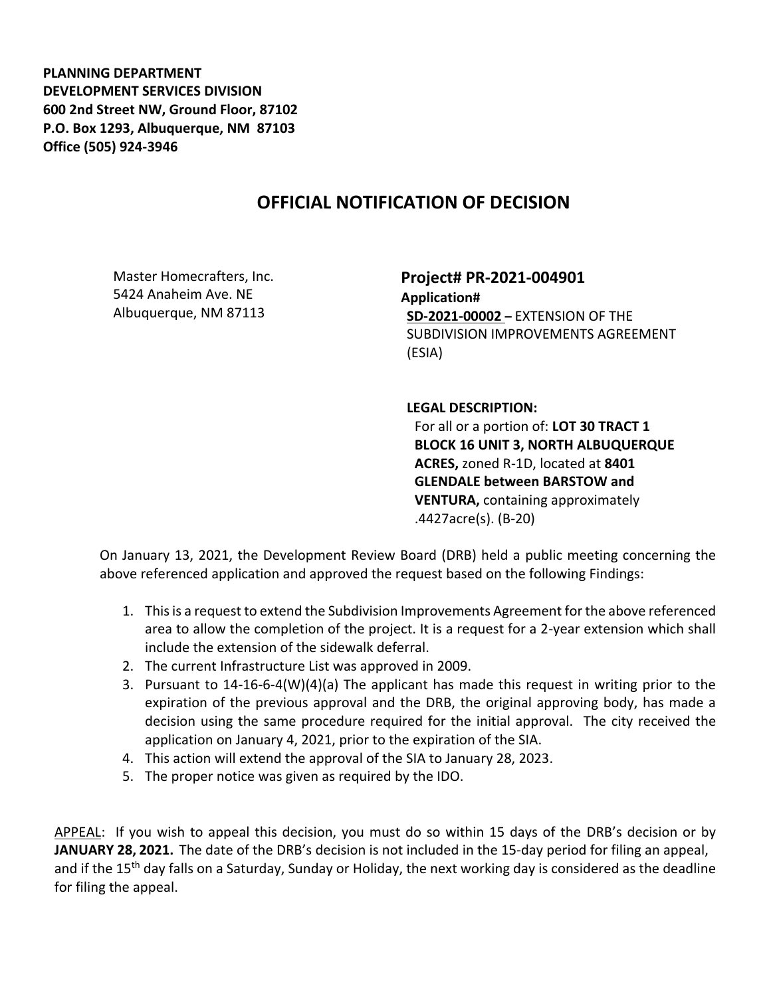**PLANNING DEPARTMENT DEVELOPMENT SERVICES DIVISION 600 2nd Street NW, Ground Floor, 87102 P.O. Box 1293, Albuquerque, NM 87103 Office (505) 924-3946** 

## **OFFICIAL NOTIFICATION OF DECISION**

Master Homecrafters, Inc. 5424 Anaheim Ave. NE Albuquerque, NM 87113

**Project# PR-2021-004901 Application# SD-2021-00002 –** EXTENSION OF THE SUBDIVISION IMPROVEMENTS AGREEMENT (ESIA)

## **LEGAL DESCRIPTION:**

For all or a portion of: **LOT 30 TRACT 1 BLOCK 16 UNIT 3, NORTH ALBUQUERQUE ACRES,** zoned R-1D, located at **8401 GLENDALE between BARSTOW and VENTURA,** containing approximately .4427acre(s). (B-20)

On January 13, 2021, the Development Review Board (DRB) held a public meeting concerning the above referenced application and approved the request based on the following Findings:

- 1. This is a request to extend the Subdivision Improvements Agreement for the above referenced area to allow the completion of the project. It is a request for a 2-year extension which shall include the extension of the sidewalk deferral.
- 2. The current Infrastructure List was approved in 2009.
- 3. Pursuant to 14-16-6-4(W)(4)(a) The applicant has made this request in writing prior to the expiration of the previous approval and the DRB, the original approving body, has made a decision using the same procedure required for the initial approval. The city received the application on January 4, 2021, prior to the expiration of the SIA.
- 4. This action will extend the approval of the SIA to January 28, 2023.
- 5. The proper notice was given as required by the IDO.

APPEAL: If you wish to appeal this decision, you must do so within 15 days of the DRB's decision or by **JANUARY 28, 2021.** The date of the DRB's decision is not included in the 15-day period for filing an appeal, and if the 15<sup>th</sup> day falls on a Saturday, Sunday or Holiday, the next working day is considered as the deadline for filing the appeal.